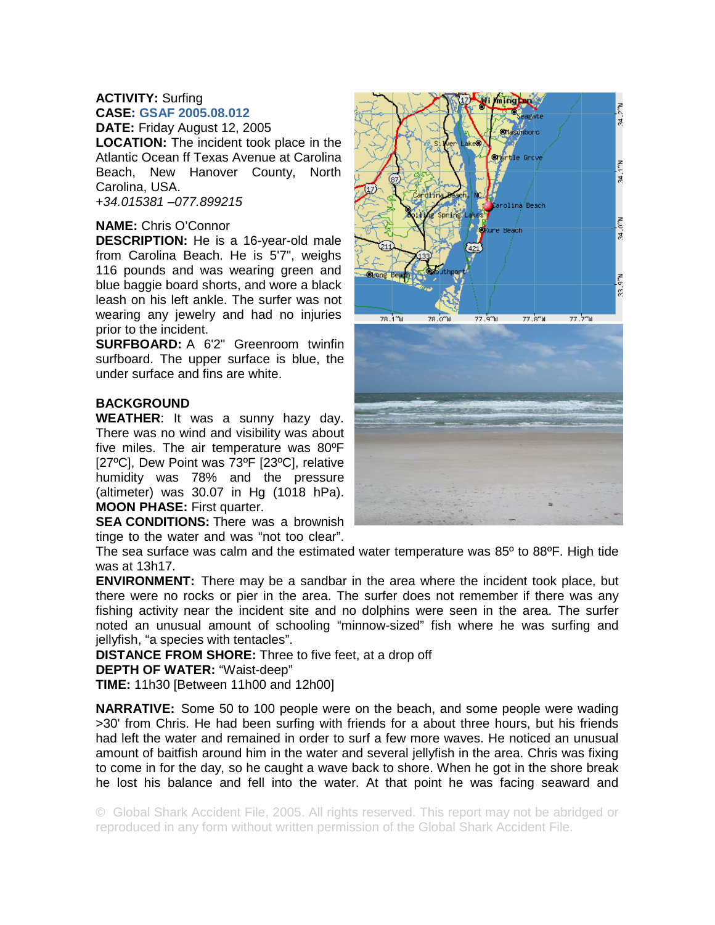## **ACTIVITY:** Surfing **CASE: GSAF 2005.08.012**

**DATE:** Friday August 12, 2005 **LOCATION:** The incident took place in the Atlantic Ocean ff Texas Avenue at Carolina Beach, New Hanover County, North Carolina, USA. +*34.015381 –077.899215*

## **NAME:** Chris O'Connor

**DESCRIPTION:** He is a 16-year-old male from Carolina Beach. He is 5'7", weighs 116 pounds and was wearing green and blue baggie board shorts, and wore a black leash on his left ankle. The surfer was not wearing any jewelry and had no injuries prior to the incident.

**SURFBOARD:** A 6'2" Greenroom twinfin surfboard. The upper surface is blue, the under surface and fins are white.

## **BACKGROUND**

**WEATHER**: It was a sunny hazy day. There was no wind and visibility was about five miles. The air temperature was 80ºF [27ºC], Dew Point was 73ºF [23ºC], relative humidity was 78% and the pressure (altimeter) was 30.07 in Hg (1018 hPa). **MOON PHASE:** First quarter.

**SEA CONDITIONS:** There was a brownish tinge to the water and was "not too clear".





The sea surface was calm and the estimated water temperature was 85º to 88ºF. High tide was at 13h17.

**ENVIRONMENT:** There may be a sandbar in the area where the incident took place, but there were no rocks or pier in the area. The surfer does not remember if there was any fishing activity near the incident site and no dolphins were seen in the area. The surfer noted an unusual amount of schooling "minnow-sized" fish where he was surfing and jellyfish, "a species with tentacles".

**DISTANCE FROM SHORE:** Three to five feet, at a drop off

## **DEPTH OF WATER:** "Waist-deep"

**TIME:** 11h30 [Between 11h00 and 12h00]

**NARRATIVE:** Some 50 to 100 people were on the beach, and some people were wading >30' from Chris. He had been surfing with friends for a about three hours, but his friends had left the water and remained in order to surf a few more waves. He noticed an unusual amount of baitfish around him in the water and several jellyfish in the area. Chris was fixing to come in for the day, so he caught a wave back to shore. When he got in the shore break he lost his balance and fell into the water. At that point he was facing seaward and

© Global Shark Accident File, 2005. All rights reserved. This report may not be abridged or reproduced in any form without written permission of the Global Shark Accident File.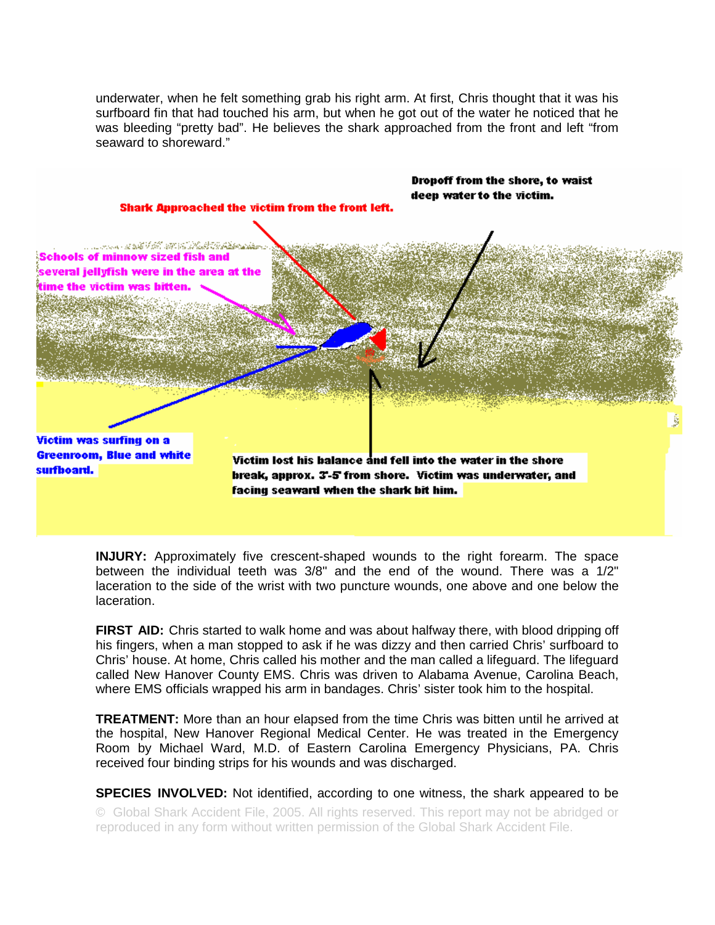underwater, when he felt something grab his right arm. At first, Chris thought that it was his surfboard fin that had touched his arm, but when he got out of the water he noticed that he was bleeding "pretty bad". He believes the shark approached from the front and left "from seaward to shoreward."



**INJURY:** Approximately five crescent-shaped wounds to the right forearm. The space between the individual teeth was 3/8" and the end of the wound. There was a 1/2" laceration to the side of the wrist with two puncture wounds, one above and one below the laceration.

**FIRST AID:** Chris started to walk home and was about halfway there, with blood dripping off his fingers, when a man stopped to ask if he was dizzy and then carried Chris' surfboard to Chris' house. At home, Chris called his mother and the man called a lifeguard. The lifeguard called New Hanover County EMS. Chris was driven to Alabama Avenue, Carolina Beach, where EMS officials wrapped his arm in bandages. Chris' sister took him to the hospital.

**TREATMENT:** More than an hour elapsed from the time Chris was bitten until he arrived at the hospital, New Hanover Regional Medical Center. He was treated in the Emergency Room by Michael Ward, M.D. of Eastern Carolina Emergency Physicians, PA. Chris received four binding strips for his wounds and was discharged.

© Global Shark Accident File, 2005. All rights reserved. This report may not be abridged or reproduced in any form without written permission of the Global Shark Accident File. **SPECIES INVOLVED:** Not identified, according to one witness, the shark appeared to be